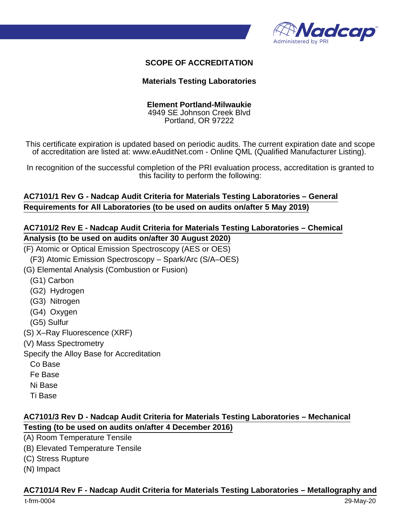

### **SCOPE OF ACCREDITATION**

#### **Materials Testing Laboratories**

#### **Element Portland-Milwaukie**

4949 SE Johnson Creek Blvd Portland, OR 97222

This certificate expiration is updated based on periodic audits. The current expiration date and scope of accreditation are listed at: www.eAuditNet.com - Online QML (Qualified Manufacturer Listing).

In recognition of the successful completion of the PRI evaluation process, accreditation is granted to this facility to perform the following:

### **AC7101/1 Rev G - Nadcap Audit Criteria for Materials Testing Laboratories – General Requirements for All Laboratories (to be used on audits on/after 5 May 2019)**

## **AC7101/2 Rev E - Nadcap Audit Criteria for Materials Testing Laboratories – Chemical Analysis (to be used on audits on/after 30 August 2020)**

(F) Atomic or Optical Emission Spectroscopy (AES or OES)

(F3) Atomic Emission Spectroscopy – Spark/Arc (S/A–OES)

(G) Elemental Analysis (Combustion or Fusion)

- (G1) Carbon
- (G2) Hydrogen
- (G3) Nitrogen
- (G4) Oxygen
- (G5) Sulfur
- (S) X–Ray Fluorescence (XRF)
- (V) Mass Spectrometry

Specify the Alloy Base for Accreditation

- Co Base
- Fe Base
- Ni Base
- Ti Base

## **AC7101/3 Rev D - Nadcap Audit Criteria for Materials Testing Laboratories – Mechanical Testing (to be used on audits on/after 4 December 2016)**

- (A) Room Temperature Tensile
- (B) Elevated Temperature Tensile
- (C) Stress Rupture
- (N) Impact

#### **AC7101/4 Rev F - Nadcap Audit Criteria for Materials Testing Laboratories – Metallography and**